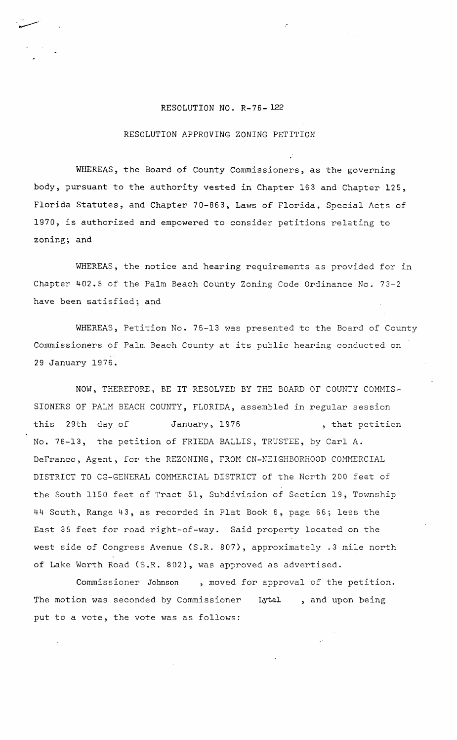## RESOLUTION NO. R-76- 122

"

## RESOLUTION APPROVING ZONING PETITION

WHEREAS, the Board of County Commissioners, as the governing body, pursuant to the authority vested in Chapter 163 and Chapter 125, Florida Statutes, and Chapter 70-863, Laws of Florida, Special Acts of 1970, is authorized and empowered to consider petitions relating to zoning; and

WHEREAS, the notice and hearing requirements as provided for in Chapter 402.5 of the Palm Beach County Zoning Code Ordinance No. 73-2 have been satisfied; and

WHEREAS, Petition No. 76-13 was presented to the Board of County Commissioners of Palm Beach County at its public hearing conducted on 29 January 1976.

NOW, THEREFORE, BE IT RESOLVED BY THE BOARD OF COUNTY COMMIS-SIONERS OF PALM BEACH COUNTY, FLORIDA, assembled in regular session this 29th day of January, 1976 , that petition No. 76-13, the petition of FRIEDA BALLIS, TRUSTEE, by Carl A. DeFranco, Agent, for the REZONING, FROM CN-NEIGHBORHOOD COMMERCIAL DISTRICT TO CG-GENERAL COMMERCIAL DISTRICT of the North 200 feet of the South 1150 feet of Tract 51, Subdivision of Section 19, Township 44 South, Range 43, as recorded in Plat Book 6, page 66; less the East 35 feet for road right-of-way. Said property located on the west side of Congress Avenue (S.R. 807), approximately .3 mile north of Lake Worth Road (S.R. 802), was approved as advertised.

Commissioner Johnson , moved for approval of the petition. The motion was seconded by Commissioner put to a vote, the vote was as follows: Lyta1 , and upon being